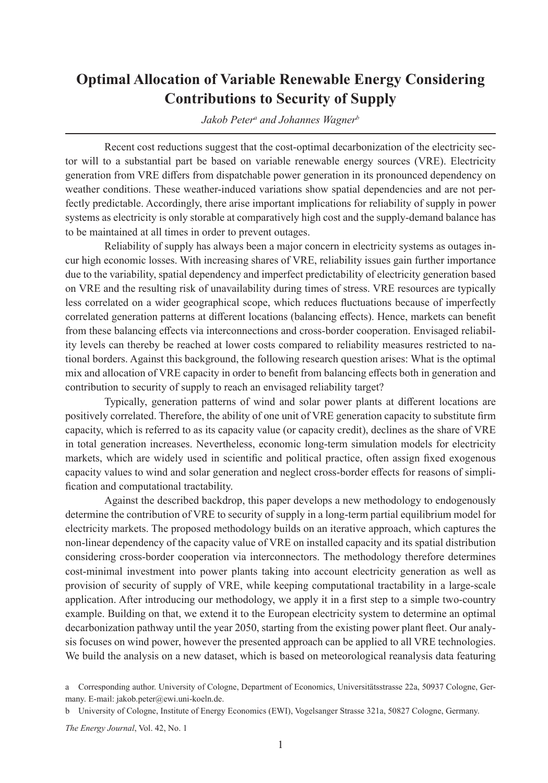## **Optimal Allocation of Variable Renewable Energy Considering Contributions to Security of Supply**

*Jakob Petera and Johannes Wagnerb*

Recent cost reductions suggest that the cost-optimal decarbonization of the electricity sector will to a substantial part be based on variable renewable energy sources (VRE). Electricity generation from VRE differs from dispatchable power generation in its pronounced dependency on weather conditions. These weather-induced variations show spatial dependencies and are not perfectly predictable. Accordingly, there arise important implications for reliability of supply in power systems as electricity is only storable at comparatively high cost and the supply-demand balance has to be maintained at all times in order to prevent outages.

Reliability of supply has always been a major concern in electricity systems as outages incur high economic losses. With increasing shares of VRE, reliability issues gain further importance due to the variability, spatial dependency and imperfect predictability of electricity generation based on VRE and the resulting risk of unavailability during times of stress. VRE resources are typically less correlated on a wider geographical scope, which reduces fluctuations because of imperfectly correlated generation patterns at different locations (balancing effects). Hence, markets can benefit from these balancing effects via interconnections and cross-border cooperation. Envisaged reliability levels can thereby be reached at lower costs compared to reliability measures restricted to national borders. Against this background, the following research question arises: What is the optimal mix and allocation of VRE capacity in order to benefit from balancing effects both in generation and contribution to security of supply to reach an envisaged reliability target?

Typically, generation patterns of wind and solar power plants at different locations are positively correlated. Therefore, the ability of one unit of VRE generation capacity to substitute firm capacity, which is referred to as its capacity value (or capacity credit), declines as the share of VRE in total generation increases. Nevertheless, economic long-term simulation models for electricity markets, which are widely used in scientific and political practice, often assign fixed exogenous capacity values to wind and solar generation and neglect cross-border effects for reasons of simplification and computational tractability.

Against the described backdrop, this paper develops a new methodology to endogenously determine the contribution of VRE to security of supply in a long-term partial equilibrium model for electricity markets. The proposed methodology builds on an iterative approach, which captures the non-linear dependency of the capacity value of VRE on installed capacity and its spatial distribution considering cross-border cooperation via interconnectors. The methodology therefore determines cost-minimal investment into power plants taking into account electricity generation as well as provision of security of supply of VRE, while keeping computational tractability in a large-scale application. After introducing our methodology, we apply it in a first step to a simple two-country example. Building on that, we extend it to the European electricity system to determine an optimal decarbonization pathway until the year 2050, starting from the existing power plant fleet. Our analysis focuses on wind power, however the presented approach can be applied to all VRE technologies. We build the analysis on a new dataset, which is based on meteorological reanalysis data featuring

a Corresponding author. University of Cologne, Department of Economics, Universitätsstrasse 22a, 50937 Cologne, Germany. E-mail: jakob.peter@ewi.uni-koeln.de.

b University of Cologne, Institute of Energy Economics (EWI), Vogelsanger Strasse 321a, 50827 Cologne, Germany.

*The Energy Journal*, Vol. 42, No. 1